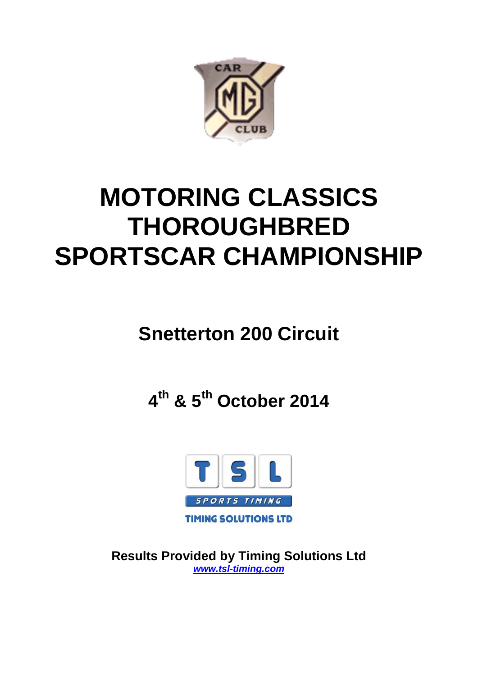

# **MOTORING CLASSICS THOROUGHBRED SPORTSCAR CHAMPIONSHIP**

# **Snetterton 200 Circuit**

**4th & 5th October 2014**



**Results Provided by Timing Solutions Ltd** *www.tsl-timing.com*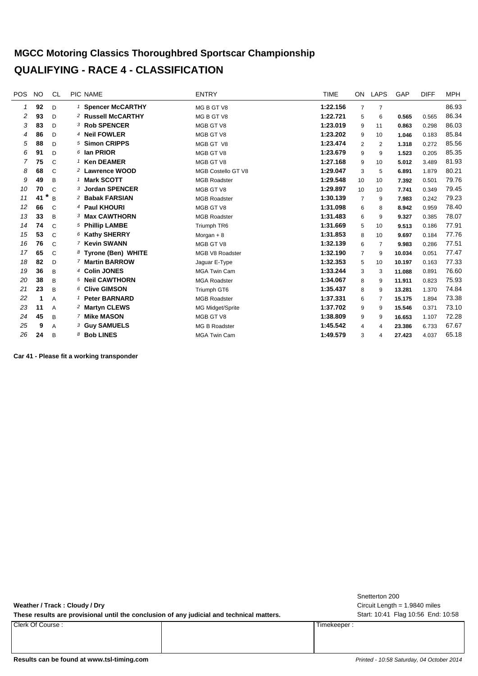#### **MGCC Motoring Classics Thoroughbred Sportscar Championship QUALIFYING - RACE 4 - CLASSIFICATION**

| <b>POS</b> | <b>NO</b> | <b>CL</b>      | PIC NAME                      | <b>ENTRY</b>         | <b>TIME</b> | ON             | LAPS | GAP    | <b>DIFF</b> | <b>MPH</b> |
|------------|-----------|----------------|-------------------------------|----------------------|-------------|----------------|------|--------|-------------|------------|
| 1          | 92        | D              | <sup>1</sup> Spencer McCARTHY | MG B GT V8           | 1:22.156    | 7              | 7    |        |             | 86.93      |
| 2          | 93        | D              | <sup>2</sup> Russell McCARTHY | MG B GT V8           | 1:22.721    | 5              | 6    | 0.565  | 0.565       | 86.34      |
| 3          | 83        | D              | 3 Rob SPENCER                 | MGB GT V8            | 1:23.019    | 9              | 11   | 0.863  | 0.298       | 86.03      |
| 4          | 86        | D              | <sup>4</sup> Neil FOWLER      | MGB GT V8            | 1:23.202    | 9              | 10   | 1.046  | 0.183       | 85.84      |
| 5          | 88        | D              | 5 Simon CRIPPS                | MGB GT V8            | 1:23.474    | 2              | 2    | 1.318  | 0.272       | 85.56      |
| 6          | 91        | D              | 6 Ian PRIOR                   | MGB GT V8            | 1:23.679    | 9              | 9    | 1.523  | 0.205       | 85.35      |
| 7          | 75        | $\mathcal{C}$  | 1 Ken DEAMER                  | MGB GT V8            | 1:27.168    | 9              | 10   | 5.012  | 3.489       | 81.93      |
| 8          | 68        | $\mathsf{C}$   | 2 Lawrence WOOD               | MGB Costello GT V8   | 1:29.047    | 3              | 5    | 6.891  | 1.879       | 80.21      |
| 9          | 49        | B              | 1 Mark SCOTT                  | <b>MGB Roadster</b>  | 1:29.548    | 10             | 10   | 7.392  | 0.501       | 79.76      |
| 10         | 70        | $\mathcal{C}$  | 3 Jordan SPENCER              | MGB GT V8            | 1:29.897    | 10             | 10   | 7.741  | 0.349       | 79.45      |
| 11         | *<br>41   | $\overline{B}$ | 2 Babak FARSIAN               | <b>MGB Roadster</b>  | 1:30.139    | $\overline{7}$ | 9    | 7.983  | 0.242       | 79.23      |
| 12         | 66        | $\mathsf{C}$   | 4 Paul KHOURI                 | MGB GT V8            | 1:31.098    | 6              | 8    | 8.942  | 0.959       | 78.40      |
| 13         | 33        | B              | 3 Max CAWTHORN                | <b>MGB Roadster</b>  | 1:31.483    | 6              | 9    | 9.327  | 0.385       | 78.07      |
| 14         | 74        | $\mathsf{C}$   | <sup>5</sup> Phillip LAMBE    | Triumph TR6          | 1:31.669    | 5              | 10   | 9.513  | 0.186       | 77.91      |
| 15         | 53        | $\mathsf{C}$   | 6 Kathy SHERRY                | Morgan $+8$          | 1:31.853    | 8              | 10   | 9.697  | 0.184       | 77.76      |
| 16         | 76        | $\mathsf{C}$   | 7 Kevin SWANN                 | MGB GT V8            | 1:32.139    | 6              | 7    | 9.983  | 0.286       | 77.51      |
| 17         | 65        | $\mathsf{C}$   | 8 Tyrone (Ben) WHITE          | MGB V8 Roadster      | 1:32.190    | $\overline{7}$ | 9    | 10.034 | 0.051       | 77.47      |
| 18         | 82        | $\mathsf{D}$   | 7 Martin BARROW               | Jaguar E-Type        | 1:32.353    | 5              | 10   | 10.197 | 0.163       | 77.33      |
| 19         | 36        | B              | 4 Colin JONES                 | <b>MGA Twin Cam</b>  | 1:33.244    | 3              | 3    | 11.088 | 0.891       | 76.60      |
| 20         | 38        | B              | 5 Neil CAWTHORN               | <b>MGA Roadster</b>  | 1:34.067    | 8              | 9    | 11.911 | 0.823       | 75.93      |
| 21         | 23        | B              | 6 Clive GIMSON                | Triumph GT6          | 1:35.437    | 8              | 9    | 13.281 | 1.370       | 74.84      |
| 22         | 1         | A              | <sup>1</sup> Peter BARNARD    | <b>MGB Roadster</b>  | 1:37.331    | 6              | 7    | 15.175 | 1.894       | 73.38      |
| 23         | 11        | A              | 2 Martyn CLEWS                | MG Midget/Sprite     | 1:37.702    | 9              | 9    | 15.546 | 0.371       | 73.10      |
| 24         | 45        | B              | 7 Mike MASON                  | MGB GT V8            | 1:38.809    | 9              | 9    | 16.653 | 1.107       | 72.28      |
| 25         | 9         | A              | 3 Guy SAMUELS                 | <b>MG B Roadster</b> | 1:45.542    | 4              | 4    | 23.386 | 6.733       | 67.67      |
| 26         | 24        | B              | 8 Bob LINES                   | <b>MGA Twin Cam</b>  | 1:49.579    | 3              | 4    | 27.423 | 4.037       | 65.18      |
|            |           |                |                               |                      |             |                |      |        |             |            |

**Car 41 - Please fit a working transponder**

**Weather / Track : Cloudy / Dry**

These results are provisional until the conclusion of any judicial and technical matters. Start: 10:41 Flag 10:56 End: 10:58

Clerk Of Course : Timekeeper :

Circuit Length = 1.9840 miles Snetterton 200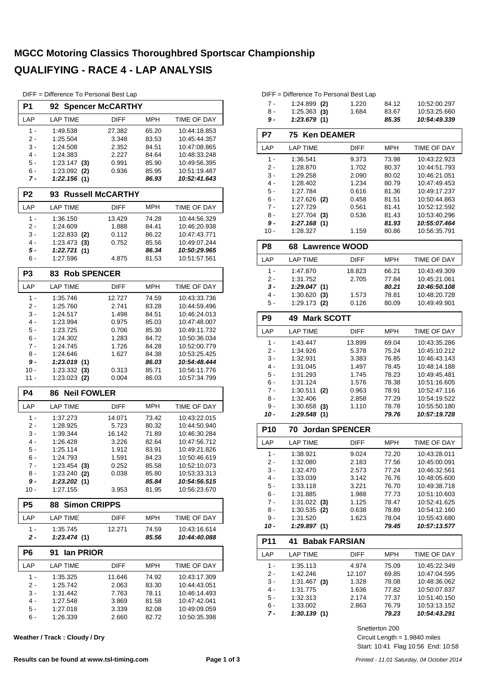#### **MGCC Motoring Classics Thoroughbred Sportscar Championship QUALIFYING - RACE 4 - LAP ANALYSIS**

| DIFF = Difference To Personal Best Lap |  |  |  |  |  |  |
|----------------------------------------|--|--|--|--|--|--|
|----------------------------------------|--|--|--|--|--|--|

| P1             | 92                                 | <b>Spencer McCARTHY</b> |                |                              |
|----------------|------------------------------------|-------------------------|----------------|------------------------------|
| LAP            | <b>LAP TIME</b>                    | <b>DIFF</b>             | <b>MPH</b>     | <b>TIME OF DAY</b>           |
| 1 -            | 1:49.538                           | 27.382                  | 65.20          | 10:44:18.853                 |
| 2 -            | 1:25.504                           | 3.348                   | 83.53          | 10:45:44.357                 |
| 3 -            | 1:24.508                           | 2.352                   | 84.51          | 10:47:08.865                 |
| 4 -            | 1:24.383                           | 2.227                   | 84.64          | 10:48:33.248                 |
| 5 -            | 1:23.147<br>(3)                    | 0.991                   | 85.90          | 10:49:56.395                 |
| 6 -            | 1:23.092<br>(2)                    | 0.936                   | 85.95          | 10:51:19.487                 |
| 7 -            | 1:22.156(1)                        |                         | 86.93          | 10:52:41.643                 |
| P <sub>2</sub> | 93                                 | <b>Russell McCARTHY</b> |                |                              |
| LAP            | <b>LAP TIME</b>                    | <b>DIFF</b>             | <b>MPH</b>     | TIME OF DAY                  |
| $1 -$          | 1:36.150                           | 13.429                  | 74.28          | 10:44:56.329                 |
| 2 -            | 1:24.609                           | 1.888                   | 84.41          | 10:46:20.938                 |
| 3 -<br>4 -     | $1:22.833$ (2)                     | 0.112<br>0.752          | 86.22          | 10:47:43.771                 |
| 5 -            | 1:23.473<br>(3)<br>1:22.721<br>(1) |                         | 85.56<br>86.34 | 10:49:07.244<br>10:50:29.965 |
| 6 -            | 1:27.596                           | 4.875                   | 81.53          | 10:51:57.561                 |
| P <sub>3</sub> | <b>Rob SPENCER</b><br>83           |                         |                |                              |
| LAP            | <b>LAP TIME</b>                    | <b>DIFF</b>             | MPH            | TIME OF DAY                  |
| $1 -$          | 1:35.746                           | 12.727                  | 74.59          | 10:43:33.736                 |
| 2 -            | 1:25.760                           | 2.741                   | 83.28          | 10:44:59.496                 |
| 3 -            | 1:24.517                           | 1.498                   | 84.51          | 10:46:24.013                 |
| 4 -            | 1:23.994                           | 0.975                   | 85.03          | 10:47:48.007                 |
| 5 -            | 1:23.725                           | 0.706                   | 85.30          | 10:49:11.732                 |
| $6 -$          | 1:24.302                           | 1.283                   | 84.72          | 10:50:36.034                 |
| $7 -$          | 1:24.745                           | 1.726                   | 84.28          | 10:52:00.779                 |
| 8 -            | 1:24.646                           | 1.627                   | 84.38          | 10:53:25.425                 |
| 9 -            | 1:23.019(1)                        |                         | 86.03          | 10:54:48.444                 |
|                |                                    |                         |                |                              |
| 10 -           | 1:23.332<br>(3)                    | 0.313                   | 85.71          | 10:56:11.776                 |
| 11 -           | $1:23.023$ (2)                     | 0.004                   | 86.03          | 10:57:34.799                 |
| <b>P4</b>      | <b>Neil FOWLER</b><br>86           |                         |                |                              |
| LAP            | <b>LAP TIME</b>                    | <b>DIFF</b>             | <b>MPH</b>     | TIME OF DAY                  |
| 1 -            | 1:37.273                           | 14.071                  | 73.42          | 10:43:22.015                 |
| 2 -            | 1:28.925                           | 5.723                   | 80.32          | 10:44:50.940                 |
| 3 -            | 1:39.344                           | 16.142                  | 71.89          | 10:46:30.284                 |
| 4 -            | 1:26.428                           | 3.226                   | 82.64          | 10:47:56.712                 |
| 5 -<br>ნ -     | 1:25.114                           | 1.912                   | 83.91<br>84.23 | 10:49:21.826<br>10:50:46.619 |
| 7 -            | 1:24.793                           | 1.591<br>0.252          | 85.58          | 10:52:10.073                 |
| 8 -            | $1:23.454$ (3)<br>$1:23.240$ (2)   | 0.038                   | 85.80          | 10:53:33.313                 |
| 9 -            | 1:23.202(1)                        |                         | 85.84          | 10:54:56.515                 |
| 10 -           | 1:27.155                           | 3.953                   | 81.95          | 10:56:23.670                 |
| P5             | <b>Simon CRIPPS</b><br>88          |                         |                |                              |
| LAP            | LAP TIME                           | <b>DIFF</b>             | <b>MPH</b>     | TIME OF DAY                  |
| $1 -$          | 1:35.745                           | 12.271                  | 74.59          | 10:43:16.614                 |
| 2 -            | 1:23.474(1)                        |                         | 85.56          | 10:44:40.088                 |
| P6             | lan PRIOR<br>91                    |                         |                |                              |
| LAP            | <b>LAP TIME</b>                    | <b>DIFF</b>             | MPH            | TIME OF DAY                  |
| $1 -$          | 1:35.325                           | 11.646                  | 74.92          | 10:43:17.309                 |
| 2 -            | 1:25.742                           | 2.063                   | 83.30          | 10:44:43.051                 |
| 3 -            | 1:31.442                           | 7.763                   | 78.11          | 10:46:14.493                 |
| 4 -            | 1:27.548                           | 3.869                   | 81.58          | 10:47:42.041                 |
| 5 -<br>6 -     | 1:27.018<br>1:26.339               | 3.339<br>2.660          | 82.08<br>82.72 | 10:49:09.059<br>10:50:35.398 |

**Weather / Track : Cloudy / Dry**

|       | DIFF = Difference To Personal Best Lap |       |       |              |
|-------|----------------------------------------|-------|-------|--------------|
| $7 -$ | $1:24.899$ (2)                         | 1.220 | 84.12 | 10:52:00.297 |
|       | .                                      |       |       |              |

| 8 -   | $1:25.363$ (3)                                                | 1.684       | 83.67 | 10:53:25.660 |
|-------|---------------------------------------------------------------|-------------|-------|--------------|
| 9 -   | 1:23.679(1)                                                   |             | 85.35 | 10:54:49.339 |
| P7    | 75 Ken DEAMER                                                 |             |       |              |
| LAP   | <b>LAP TIME</b>                                               | <b>DIFF</b> | MPH   | TIME OF DAY  |
| 1 -   | 1:36.541                                                      | 9.373       | 73.98 | 10:43:22.923 |
| $2 -$ | 1:28.870                                                      | 1.702       | 80.37 | 10:44:51.793 |
| 3 -   | 1:29.258                                                      | 2.090       | 80.02 | 10:46:21.051 |
| $4 -$ | 1:28.402                                                      | 1.234       | 80.79 | 10:47:49.453 |
| 5 -   | 1:27.784                                                      | 0.616       | 81.36 | 10:49:17.237 |
| 6 -   | $1:27.626$ (2)                                                | 0.458       | 81.51 | 10:50:44.863 |
| 7 -   | 1:27.729                                                      | 0.561       | 81.41 | 10:52:12.592 |
| 8 -   | $1:27.704$ (3)                                                | 0.536       | 81.43 | 10:53:40.296 |
| 9 -   | 1:27.168(1)                                                   |             | 81.93 | 10:55:07.464 |
| 10 -  | 1:28.327                                                      | 1.159       | 80.86 | 10.56.35.791 |
| no    | cо<br>$\sim$ $\sim$ $\sim$ $\sim$ $\sim$ $\sim$ $\sim$ $\sim$ |             |       |              |

| ۲ŏ    | 68 Lawrence WOOD |             |            |                    |
|-------|------------------|-------------|------------|--------------------|
| LAP   | <b>LAP TIME</b>  | <b>DIFF</b> | <b>MPH</b> | <b>TIME OF DAY</b> |
| 1 -   | 1:47.870         | 18.823      | 66.21      | 10:43:49.309       |
| 2 -   | 1:31.752         | 2.705       | 77.84      | 10:45:21.061       |
| $3 -$ | 1:29.047(1)      |             | 80.21      | 10:46:50.108       |
| 4 -   | $1:30.620$ (3)   | 1.573       | 78.81      | 10:48:20.728       |
| $5 -$ | $1:29.173$ (2)   | 0.126       | 80.09      | 10:49:49.901       |
|       |                  |             |            |                    |

| P9    | <b>Mark SCOTT</b><br>49 |             |            |              |
|-------|-------------------------|-------------|------------|--------------|
| LAP   | <b>LAP TIME</b>         | <b>DIFF</b> | <b>MPH</b> | TIME OF DAY  |
| 1 -   | 1:43.447                | 13.899      | 69.04      | 10:43:35.286 |
| 2.    | 1:34.926                | 5.378       | 75.24      | 10:45:10.212 |
| $3 -$ | 1:32.931                | 3.383       | 76.85      | 10:46:43.143 |
| $4 -$ | 1:31.045                | 1.497       | 78.45      | 10:48:14.188 |
| $5 -$ | 1:31.293                | 1.745       | 78.23      | 10:49:45.481 |
| $6 -$ | 1:31.124                | 1.576       | 78.38      | 10:51:16.605 |
| $7 -$ | $1:30.511$ (2)          | 0.963       | 78.91      | 10:52:47.116 |
| 8 -   | 1:32.406                | 2.858       | 77.29      | 10:54:19.522 |
| 9 -   | $1:30.658$ (3)          | 1.110       | 78.78      | 10:55:50.180 |
| 10 -  | 1:29.548<br>(1)         |             | 79.76      | 10:57:19.728 |

| <b>P10</b> | 70 Jordan SPENCER |             |            |                    |  |
|------------|-------------------|-------------|------------|--------------------|--|
| LAP        | <b>LAP TIME</b>   | <b>DIFF</b> | <b>MPH</b> | <b>TIME OF DAY</b> |  |
| 1 -        | 1:38.921          | 9.024       | 72.20      | 10:43:28.011       |  |
| 2.         | 1:32.080          | 2.183       | 77.56      | 10:45:00.091       |  |
| $3 -$      | 1:32.470          | 2.573       | 77.24      | 10:46:32.561       |  |
| 4 -        | 1:33.039          | 3.142       | 76.76      | 10:48:05.600       |  |
| $5 -$      | 1:33.118          | 3.221       | 76.70      | 10:49:38.718       |  |
| $6 -$      | 1:31.885          | 1.988       | 77.73      | 10:51:10.603       |  |
| 7 -        | $1:31.022$ (3)    | 1.125       | 78.47      | 10:52:41.625       |  |
| 8 -        | $1:30.535$ (2)    | 0.638       | 78.89      | 10:54:12.160       |  |
| 9 -        | 1:31.520          | 1.623       | 78.04      | 10:55:43.680       |  |
| 10 -       | 1:29.897(1)       |             | 79.45      | 10:57:13.577       |  |

| <b>P11</b> | <b>Babak FARSIAN</b><br>41 |             |            |                    |
|------------|----------------------------|-------------|------------|--------------------|
| LAP        | LAP TIME                   | <b>DIFF</b> | <b>MPH</b> | <b>TIME OF DAY</b> |
| 1 -        | 1:35.113                   | 4.974       | 75.09      | 10:45:22.349       |
| $2 -$      | 1:42.246                   | 12.107      | 69.85      | 10:47:04.595       |
| $3 -$      | 1:31.467<br>(3)            | 1.328       | 78.08      | 10:48:36.062       |
| 4 -        | 1:31.775                   | 1.636       | 77.82      | 10:50:07.837       |
| $5 -$      | 1:32.313                   | 2.174       | 77.37      | 10:51:40.150       |
| $6 -$      | 1:33.002                   | 2.863       | 76.79      | 10:53:13.152       |
| 7 -        | 1:30.139(1)                |             | 79.23      | 10:54:43.291       |

Snetterton 200

Start: 10:41 Flag 10:56 End: 10:58 Circuit Length = 1.9840 miles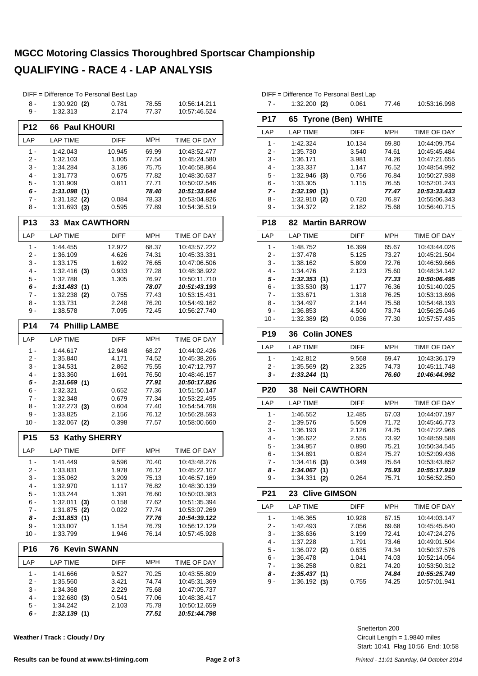#### **MGCC Motoring Classics Thoroughbred Sportscar Championship QUALIFYING - RACE 4 - LAP ANALYSIS**

|                 | DIFF = Difference To Personal Best Lap |                |                |                              |
|-----------------|----------------------------------------|----------------|----------------|------------------------------|
| 8 -             | $1:30.920$ (2)                         | 0.781          | 78.55          | 10:56:14.211                 |
| 9 -             | 1:32.313                               | 2.174          | 77.37          | 10:57:46.524                 |
| <b>P12</b>      | 66 Paul KHOURI                         |                |                |                              |
| LAP             | <b>LAP TIME</b>                        | DIFF           | <b>MPH</b>     | TIME OF DAY                  |
| $1 -$           | 1:42.043                               | 10.945         | 69.99          | 10:43:52.477                 |
| 2 -             | 1:32.103                               | 1.005          | 77.54          | 10:45:24.580                 |
| 3 -             | 1:34.284                               | 3.186          | 75.75          | 10:46:58.864                 |
| 4 -             | 1:31.773                               | 0.675          | 77.82          | 10:48:30.637                 |
| 5 -             | 1:31.909                               | 0.811          | 77.71          | 10:50:02.546                 |
| 6 -             | 1:31.098(1)                            |                | 78.40          | 10:51:33.644                 |
| 7 -<br>8 -      | $1:31.182$ (2)<br>$1:31.693$ (3)       | 0.084<br>0.595 | 78.33<br>77.89 | 10:53:04.826<br>10:54:36.519 |
|                 |                                        |                |                |                              |
| <b>P13</b>      | 33 Max CAWTHORN                        |                |                |                              |
| LAP             | <b>LAP TIME</b>                        | <b>DIFF</b>    | <b>MPH</b>     | TIME OF DAY                  |
| $1 -$           | 1:44.455                               | 12.972         | 68.37          | 10:43:57.222                 |
| 2 -             | 1:36.109                               | 4.626          | 74.31          | 10:45:33.331                 |
| 3 -<br>$4 -$    | 1:33.175                               | 1.692<br>0.933 | 76.65          | 10:47:06.506                 |
| 5 -             | $1:32.416$ (3)<br>1:32.788             | 1.305          | 77.28<br>76.97 | 10:48:38.922<br>10:50:11.710 |
| 6 -             | 1:31.483(1)                            |                | 78.07          | 10:51:43.193                 |
| $7 -$           | $1:32.238$ (2)                         | 0.755          | 77.43          | 10:53:15.431                 |
| 8 -             | 1:33.731                               | 2.248          | 76.20          | 10:54:49.162                 |
| 9 -             | 1:38.578                               | 7.095          | 72.45          | 10:56:27.740                 |
| <b>P14</b>      | <b>Phillip LAMBE</b><br>74             |                |                |                              |
| LAP             | <b>LAP TIME</b>                        | <b>DIFF</b>    | MPH            | <b>TIME OF DAY</b>           |
| $1 -$           | 1:44.617                               | 12.948         | 68.27          | 10:44:02.426                 |
| 2 -             | 1:35.840                               | 4.171          | 74.52          | 10:45:38.266                 |
| 3 -             | 1:34.531                               | 2.862          | 75.55          | 10:47:12.797                 |
| $4 -$           | 1:33.360                               | 1.691          | 76.50          | 10:48:46.157                 |
| 5 -             | 1:31.669(1)                            |                | 77.91          | 10:50:17.826                 |
| $6 -$           | 1:32.321                               | 0.652          | 77.36          | 10:51:50.147                 |
| 7 -             | 1:32.348                               | 0.679          | 77.34          | 10:53:22.495                 |
| 8 -             | $1:32.273$ (3)                         | 0.604          | 77.40          | 10:54:54.768                 |
| 9 -<br>10 -     | 1:33.825<br>$1:32.067$ (2)             | 2.156<br>0.398 | 76.12<br>77.57 | 10:56:28.593<br>10:58:00.660 |
|                 |                                        |                |                |                              |
| P <sub>15</sub> | 53 Kathy SHERRY                        |                |                |                              |
| LAP             | <b>LAP TIME</b>                        | <b>DIFF</b>    | <b>MPH</b>     | TIME OF DAY                  |
| 1 -             | 1:41.449                               | 9.596          | 70.40          | 10:43:48.276                 |
| 2 -             | 1:33.831                               | 1.978          | 76.12          | 10:45:22.107                 |
| 3 -             | 1:35.062                               | 3.209          | 75.13          | 10:46:57.169                 |
| 4 -             | 1:32.970                               | 1.117          | 76.82          | 10:48:30.139                 |
| $5 -$           | 1:33.244                               | 1.391          | 76.60          | 10:50:03.383                 |
| 6 -<br>7 -      | 1:32.011<br>(3)<br>1:31.875<br>(2)     | 0.158<br>0.022 | 77.62<br>77.74 | 10:51:35.394<br>10:53:07.269 |
| 8 -             | 1:31.853(1)                            |                | 77.76          | 10:54:39.122                 |
| 9 -             | 1:33.007                               | 1.154          | 76.79          | 10:56:12.129                 |
| 10 -            | 1:33.799                               | 1.946          | 76.14          | 10:57:45.928                 |
| <b>P16</b>      | <b>Kevin SWANN</b><br>76               |                |                |                              |
| LAP             | <b>LAP TIME</b>                        | DIFF           | <b>MPH</b>     | TIME OF DAY                  |
| $1 -$           | 1:41.666                               | 9.527          | 70.25          | 10:43:55.809                 |
| 2 -             | 1:35.560                               | 3.421          | 74.74          | 10:45:31.369                 |
| 3 -             | 1:34.368                               | 2.229          | 75.68          | 10:47:05.737                 |
| 4 -             | 1:32.680(3)                            | 0.541          | 77.06          | 10:48:38.417                 |
| 5 -             | 1:34.242                               | 2.103          | 75.78          | 10:50:12.659                 |
| 6 -             | 1:32.139(1)                            |                | 77.51          | 10:51:44.798                 |

|                 | DIFF = Difference To Personal Best Lap |                           |                |                              |
|-----------------|----------------------------------------|---------------------------|----------------|------------------------------|
| $7 -$           | $1:32.200$ (2)                         | 0.061                     | 77.46          | 10:53:16.998                 |
|                 |                                        |                           |                |                              |
| <b>P17</b>      | 65                                     | <b>Tyrone (Ben) WHITE</b> |                |                              |
| LAP             | <b>LAP TIME</b>                        | DIFF                      | <b>MPH</b>     | <b>TIME OF DAY</b>           |
| $1 -$           | 1:42.324                               | 10.134                    | 69.80          | 10:44:09.754                 |
| $2 -$           | 1:35.730                               | 3.540                     | 74.61          | 10:45:45.484                 |
| 3 -             | 1:36.171                               | 3.981                     | 74.26          | 10:47:21.655                 |
| $4 -$           | 1:33.337                               | 1.147                     | 76.52          | 10:48:54.992                 |
| 5 -<br>$6 -$    | 1:32.946<br>(3)<br>1:33.305            | 0.756<br>1.115            | 76.84<br>76.55 | 10:50:27.938<br>10:52:01.243 |
| 7 -             | 1:32.190(1)                            |                           | 77.47          | 10:53:33.433                 |
| 8 -             | 1:32.910 (2)                           | 0.720                     | 76.87          | 10:55:06.343                 |
| 9 -             | 1:34.372                               | 2.182                     | 75.68          | 10:56:40.715                 |
| <b>P18</b>      | <b>82 Martin BARROW</b>                |                           |                |                              |
| LAP             | <b>LAP TIME</b>                        | DIFF                      | <b>MPH</b>     | TIME OF DAY                  |
| $1 -$           | 1:48.752                               | 16.399                    | 65.67          | 10:43:44.026                 |
| $2 -$           | 1:37.478                               | 5.125                     | 73.27          | 10:45:21.504                 |
| 3 -             | 1:38.162                               | 5.809                     | 72.76          | 10:46:59.666                 |
| $4 -$           | 1:34.476                               | 2.123                     | 75.60          | 10:48:34.142                 |
| 5 -             | 1:32.353(1)                            |                           | 77.33          | 10:50:06.495                 |
| 6 -             | $1:33.530$ (3)                         | 1.177                     | 76.36          | 10:51:40.025                 |
| 7 -             | 1:33.671                               | 1.318                     | 76.25          | 10:53:13.696                 |
| $8 -$           | 1:34.497                               | 2.144                     | 75.58          | 10:54:48.193                 |
| 9 -             | 1:36.853                               | 4.500                     | 73.74          | 10:56:25.046                 |
| $10 -$          | 1:32.389 (2)                           | 0.036                     | 77.30          | 10:57:57.435                 |
| P <sub>19</sub> | <b>Colin JONES</b><br>36               |                           |                |                              |
| LAP             | <b>LAP TIME</b>                        | <b>DIFF</b>               | <b>MPH</b>     | TIME OF DAY                  |
| 1 -             | 1:42.812                               | 9.568                     | 69.47          | 10:43:36.179                 |
| 2 -             | $1:35.569$ (2)                         | 2.325                     | 74.73          | 10:45:11.748                 |
| 3 -             | 1:33.244(1)                            |                           | 76.60          | 10:46:44.992                 |
| <b>P20</b>      | <b>Neil CAWTHORN</b><br>38             |                           |                |                              |
| LAP             | <b>LAP TIME</b>                        | DIFF                      | <b>MPH</b>     | TIME OF DAY                  |
| $1 -$           | 1:46.552                               | 12.485                    | 67.03          | 10:44:07.197                 |
| $2 -$           | 1:39.576                               | 5.509                     | 71.72          | 10:45:46.773                 |
| $3 -$           | 1:36.193                               | 2.126                     | 74.25          | 10:47:22.966                 |
| $4 -$           | 1:36.622                               | 2.555                     | 73.92          | 10:48:59.588                 |
| 5 -             | 1:34.957                               | 0.890                     | 75.21          | 10:50:34.545                 |
| 6 -             | 1:34.891                               | 0.824                     | 75.27          | 10:52:09.436                 |
| 7 -             | $1:34.416$ (3)                         | 0.349                     | 75.64          | 10:53:43.852                 |
| $8-$<br>9 -     | 1:34.067(1)<br>$1:34.331$ (2)          | 0.264                     | 75.93<br>75.71 | 10:55:17.919<br>10:56:52.250 |
|                 |                                        |                           |                |                              |
| P21             | <b>Clive GIMSON</b><br>23              |                           |                |                              |
| LAP             | <b>LAP TIME</b>                        | <b>DIFF</b>               | <b>MPH</b>     | TIME OF DAY                  |
| 1 -             | 1:46.365                               | 10.928                    | 67.15          | 10:44:03.147                 |
| $2 -$           | 1:42.493                               | 7.056                     | 69.68          | 10:45:45.640                 |
| $3 -$<br>$4 -$  | 1:38.636                               | 3.199                     | 72.41          | 10:47:24.276                 |
| $5 -$           | 1:37.228<br>$1:36.072$ (2)             | 1.791<br>0.635            | 73.46<br>74.34 | 10:49:01.504<br>10:50:37.576 |
| $6 -$           | 1:36.478                               | 1.041                     | 74.03          | 10:52:14.054                 |
|                 |                                        | 0.821                     | 74.20          | 10:53:50.312                 |
|                 |                                        |                           |                |                              |
| 7 -             | 1:36.258                               |                           |                |                              |
| 8 -<br>9 -      | 1:35.437(1)<br>1:36.192(3)             | 0.755                     | 74.84<br>74.25 | 10:55:25.749<br>10:57:01.941 |
|                 |                                        |                           |                |                              |
|                 |                                        |                           |                |                              |

Start: 10:41 Flag 10:56 End: 10:58 Circuit Length = 1.9840 miles Snetterton 200

**Weather / Track : Cloudy / Dry**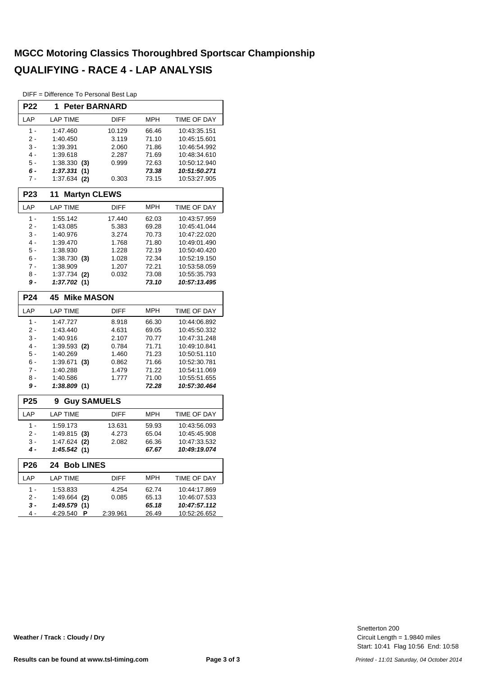#### **MGCC Motoring Classics Thoroughbred Sportscar Championship QUALIFYING - RACE 4 - LAP ANALYSIS**

DIFF = Difference To Personal Best Lap

| <b>P22</b>       | <b>Peter BARNARD</b><br>1 |             |            |              |  |  |
|------------------|---------------------------|-------------|------------|--------------|--|--|
| LAP              | <b>LAP TIME</b>           | <b>DIFF</b> | MPH        | TIME OF DAY  |  |  |
| $1 -$            | 1:47.460                  | 10.129      | 66.46      | 10:43:35.151 |  |  |
| 2 -              | 1:40.450                  | 3.119       | 71.10      | 10:45:15.601 |  |  |
| 3 -              | 1:39.391                  | 2.060       | 71.86      | 10:46:54.992 |  |  |
| $4 -$            | 1:39.618                  | 2.287       | 71.69      | 10:48:34.610 |  |  |
| 5 -              | 1:38.330<br>(3)           | 0.999       | 72.63      | 10:50:12.940 |  |  |
| 6 -              | 1:37.331<br>(1)           |             | 73.38      | 10:51:50.271 |  |  |
| 7 -              | 1:37.634<br>(2)           | 0.303       | 73.15      | 10:53:27.905 |  |  |
| P <sub>2</sub> 3 | <b>Martyn CLEWS</b><br>11 |             |            |              |  |  |
| LAP              | <b>LAP TIME</b>           | <b>DIFF</b> | MPH        | TIME OF DAY  |  |  |
| $1 -$            | 1:55.142                  | 17.440      | 62.03      | 10:43:57.959 |  |  |
| $2 -$            | 1:43.085                  | 5.383       | 69.28      | 10:45:41.044 |  |  |
| 3 -              | 1:40.976                  | 3.274       | 70.73      | 10:47:22.020 |  |  |
| $4 -$            | 1:39.470                  | 1.768       | 71.80      | 10:49:01.490 |  |  |
| $5 -$            | 1:38.930                  | 1.228       | 72.19      | 10:50:40.420 |  |  |
| 6 -              | $1:38.730$ (3)            | 1.028       | 72.34      | 10:52:19.150 |  |  |
| $7 -$            | 1:38.909                  | 1.207       | 72.21      | 10:53:58.059 |  |  |
| 8 -              | 1:37.734<br>(2)           | 0.032       | 73.08      | 10:55:35.793 |  |  |
| 9 -              | 1:37.702 (1)              |             | 73.10      | 10:57:13.495 |  |  |
| <b>P24</b>       | <b>Mike MASON</b><br>45   |             |            |              |  |  |
| LAP              | <b>LAP TIME</b>           | <b>DIFF</b> | <b>MPH</b> | TIME OF DAY  |  |  |
| $1 -$            | 1:47.727                  | 8.918       | 66.30      | 10:44:06.892 |  |  |
| 2 -              | 1:43.440                  | 4.631       | 69.05      | 10:45:50.332 |  |  |
| 3 -              | 1:40.916                  | 2.107       | 70.77      | 10:47:31.248 |  |  |
| 4 -              | $1:39.593$ (2)            | 0.784       | 71.71      | 10:49:10.841 |  |  |
| 5 -              | 1:40.269                  | 1.460       | 71.23      | 10:50:51.110 |  |  |
| $6 -$            | 1:39.671<br>(3)           | 0.862       | 71.66      | 10:52:30.781 |  |  |
| $7 -$            | 1:40.288                  | 1.479       | 71.22      | 10:54:11.069 |  |  |
| 8 -              | 1:40.586                  | 1.777       | 71.00      | 10:55:51.655 |  |  |
| 9 -              | 1:38.809(1)               |             | 72.28      | 10:57:30.464 |  |  |
| P <sub>25</sub>  | <b>Guy SAMUELS</b><br>9   |             |            |              |  |  |
| LAP              | <b>LAP TIME</b>           | <b>DIFF</b> | <b>MPH</b> | TIME OF DAY  |  |  |
| $1 -$            | 1:59.173                  | 13.631      | 59.93      | 10:43:56.093 |  |  |
| $2 -$            | 1:49.815<br>(3)           | 4.273       | 65.04      | 10:45:45.908 |  |  |
| 3 -              | 1:47.624<br>(2)           | 2.082       | 66.36      | 10:47:33.532 |  |  |
| 4 -              | 1:45.542 (1)              |             | 67.67      | 10:49:19.074 |  |  |
| <b>P26</b>       | <b>Bob LINES</b><br>24    |             |            |              |  |  |
| LAP              | <b>LAP TIME</b>           | DIFF        | <b>MPH</b> | TIME OF DAY  |  |  |
| $1 -$            | 1:53.833                  | 4.254       | 62.74      | 10:44:17.869 |  |  |
| $2 -$            | 1:49.664<br>(2)           | 0.085       | 65.13      | 10:46:07.533 |  |  |
| 3 -              | 1:49.579 (1)              |             | 65.18      | 10:47:57.112 |  |  |
| 4 -              | 4:29.540<br><b>P</b>      | 2:39.961    | 26.49      | 10:52:26.652 |  |  |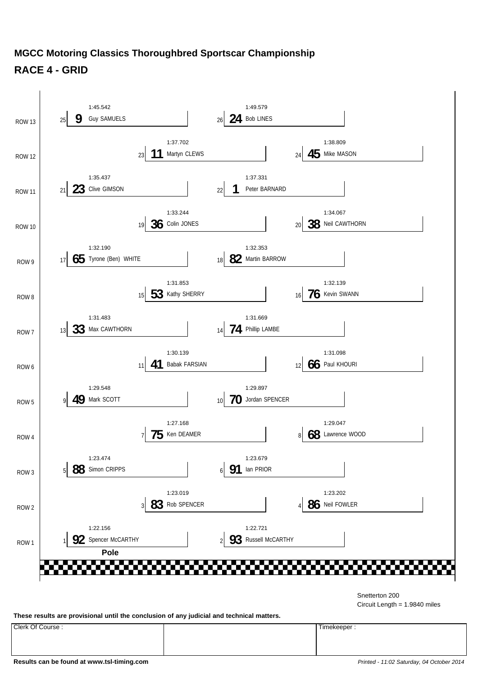

#### **MGCC Motoring Classics Thoroughbred Sportscar Championship RACE 4 - GRID**

Snetterton 200

Circuit Length = 1.9840 miles

**These results are provisional until the conclusion of any judicial and technical matters.**

Clerk Of Course : Timekeeper :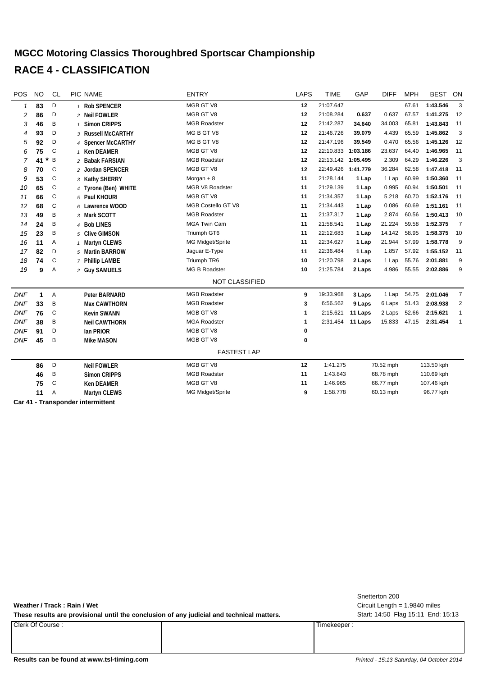#### **MGCC Motoring Classics Thoroughbred Sportscar Championship RACE 4 - CLASSIFICATION**

| POS        | <b>NO</b>    | <b>CL</b>    | <b>PIC NAME</b>                     | <b>ENTRY</b>          | <b>LAPS</b> | <b>TIME</b>        | GAP     | <b>DIFF</b> | <b>MPH</b> | <b>BEST</b> | ON             |
|------------|--------------|--------------|-------------------------------------|-----------------------|-------------|--------------------|---------|-------------|------------|-------------|----------------|
| 1          | 83           | D            | 1 Rob SPENCER                       | MGB GT V8             | 12          | 21:07.647          |         |             | 67.61      | 1:43.546    | 3              |
| 2          | 86           | D            | 2 Neil FOWLER                       | MGB GT V8             | 12          | 21:08.284          | 0.637   | 0.637       | 67.57      | 1:41.275    | 12             |
| 3          | 46           | B            | <b>Simon CRIPPS</b><br>$\mathbf{1}$ | <b>MGB Roadster</b>   | 12          | 21:42.287          | 34.640  | 34.003      | 65.81      | 1:43.843    | 11             |
| 4          | 93           | D            | 3 Russell McCARTHY                  | MG B GT V8            | 12          | 21:46.726          | 39.079  | 4.439       | 65.59      | 1:45.862    | 3              |
| 5          | 92           | D            | 4 Spencer McCARTHY                  | MG B GT V8            | 12          | 21:47.196          | 39.549  | 0.470       | 65.56      | 1:45.126    | 12             |
| 6          | 75           | $\mathsf{C}$ | 1 Ken DEAMER                        | MGB GT V8             | 12          | 22:10.833 1:03.186 |         | 23.637      | 64.40      | 1:46.965    | 11             |
| 7          | $\ast$<br>41 | B            | 2 Babak FARSIAN                     | <b>MGB Roadster</b>   | 12          | 22:13.142 1:05.495 |         | 2.309       | 64.29      | 1:46.226    | 3              |
| 8          | 70           | C            | 2 Jordan SPENCER                    | MGB GT V8             | 12          | 22:49.426 1:41.779 |         | 36.284      | 62.58      | 1:47.418    | 11             |
| 9          | 53           | C            | 3 Kathy SHERRY                      | Morgan $+8$           | 11          | 21:28.144          | 1 Lap   | 1 Lap       | 60.99      | 1:50.360    | 11             |
| 10         | 65           | C            | 4 Tyrone (Ben) WHITE                | MGB V8 Roadster       | 11          | 21:29.139          | 1 Lap   | 0.995       | 60.94      | 1:50.501    | 11             |
| 11         | 66           | C            | 5 Paul KHOURI                       | MGB GT V8             | 11          | 21:34.357          | 1 Lap   | 5.218       | 60.70      | 1:52.176    | 11             |
| 12         | 68           | C            | 6 Lawrence WOOD                     | MGB Costello GT V8    | 11          | 21:34.443          | 1 Lap   | 0.086       | 60.69      | 1:51.161    | 11             |
| 13         | 49           | B            | 3 Mark SCOTT                        | <b>MGB Roadster</b>   | 11          | 21:37.317          | 1 Lap   | 2.874       | 60.56      | 1:50.413    | 10             |
| 14         | 24           | B            | 4 Bob LINES                         | <b>MGA Twin Cam</b>   | 11          | 21:58.541          | 1 Lap   | 21.224      | 59.58      | 1:52.375    | $\overline{7}$ |
| 15         | 23           | Β            | 5 Clive GIMSON                      | Triumph GT6           | 11          | 22:12.683          | 1 Lap   | 14.142      | 58.95      | 1:58.375    | 10             |
| 16         | 11           | Α            | 1 Martyn CLEWS                      | MG Midget/Sprite      | 11          | 22:34.627          | 1 Lap   | 21.944      | 57.99      | 1:58.778    | 9              |
| 17         | 82           | D            | 5 Martin BARROW                     | Jaguar E-Type         | 11          | 22:36.484          | 1 Lap   | 1.857       | 57.92      | 1:55.152    | 11             |
| 18         | 74           | C            | 7 Phillip LAMBE                     | Triumph TR6           | 10          | 21:20.798          | 2 Laps  | 1 Lap       | 55.76      | 2:01.881    | 9              |
| 19         | 9            | Α            | 2 Guy SAMUELS                       | <b>MG B Roadster</b>  | 10          | 21:25.784          | 2 Laps  | 4.986       | 55.55      | 2:02.886    | 9              |
|            |              |              |                                     | <b>NOT CLASSIFIED</b> |             |                    |         |             |            |             |                |
| <b>DNF</b> | $\mathbf{1}$ | Α            | <b>Peter BARNARD</b>                | <b>MGB Roadster</b>   | 9           | 19:33.968          | 3 Laps  | 1 Lap       | 54.75      | 2:01.046    | $\overline{7}$ |
| <b>DNF</b> | 33           | Β            | <b>Max CAWTHORN</b>                 | <b>MGB Roadster</b>   | 3           | 6:56.562           | 9 Laps  | 6 Laps      | 51.43      | 2:08.938    | $\overline{2}$ |
| <b>DNF</b> | 76           | $\mathsf{C}$ | <b>Kevin SWANN</b>                  | MGB GT V8             | 1           | 2:15.621           | 11 Laps | 2 Laps      | 52.66      | 2:15.621    | $\mathbf{1}$   |
| <b>DNF</b> | 38           | B            | <b>Neil CAWTHORN</b>                | <b>MGA Roadster</b>   | 1           | 2:31.454           | 11 Laps | 15.833      | 47.15      | 2:31.454    | $\overline{1}$ |
| <b>DNF</b> | 91           | D            | lan PRIOR                           | MGB GT V8             | 0           |                    |         |             |            |             |                |
| <b>DNF</b> | 45           | Β            | <b>Mike MASON</b>                   | MGB GT V8             | 0           |                    |         |             |            |             |                |
|            |              |              |                                     | <b>FASTEST LAP</b>    |             |                    |         |             |            |             |                |
|            | 86           | D            | <b>Neil FOWLER</b>                  | MGB GT V8             | 12          | 1:41.275           |         | 70.52 mph   |            | 113.50 kph  |                |
|            | 46           | B            | <b>Simon CRIPPS</b>                 | <b>MGB Roadster</b>   | 11          | 1:43.843           |         | 68.78 mph   |            | 110.69 kph  |                |
|            | 75           | C            | <b>Ken DEAMER</b>                   | MGB GT V8             | 11          | 1:46.965           |         | 66.77 mph   |            | 107.46 kph  |                |
|            | 11           | Α            | Martyn CLEWS                        | MG Midget/Sprite      | 9           | 1:58.778           |         | 60.13 mph   |            | 96.77 kph   |                |
|            |              |              |                                     |                       |             |                    |         |             |            |             |                |

**Car 41 - Transponder intermittent**

**Weather / Track : Rain / Wet**

These results are provisional until the conclusion of any judicial and technical matters. Start: 14:50 Flag 15:11 End: 15:13

Clerk Of Course : Timekeeper :

Circuit Length = 1.9840 miles Snetterton 200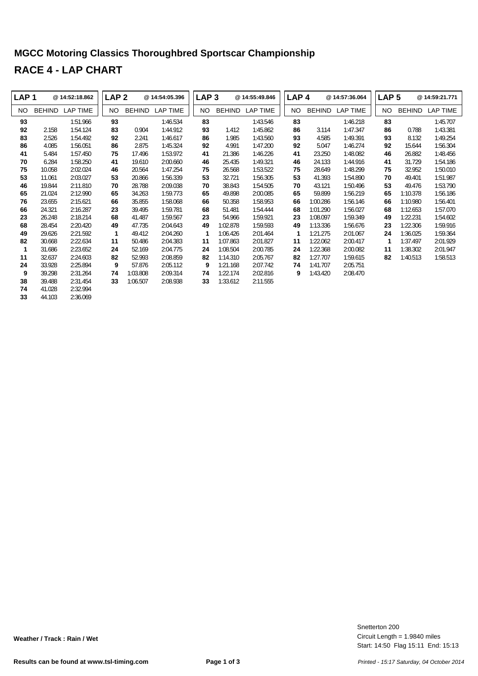## **MGCC Motoring Classics Thoroughbred Sportscar Championship RACE 4 - LAP CHART**

| LAP <sub>1</sub> |               | @ 14:52:18.862  | LAP <sub>2</sub> |          | @ 14:54:05.396 | LAP <sub>3</sub> |               | @ 14:55:49.846 | LAP <sub>4</sub> |               | @ 14:57:36.064  | LAP <sub>5</sub> |               | @14:59:21.771   |
|------------------|---------------|-----------------|------------------|----------|----------------|------------------|---------------|----------------|------------------|---------------|-----------------|------------------|---------------|-----------------|
| NO.              | <b>BEHIND</b> | <b>LAP TIME</b> | NO.              | BEHIND   | LAP TIME       | NO.              | <b>BEHIND</b> | LAP TIME       | NO.              | <b>BEHIND</b> | <b>LAP TIME</b> | NO.              | <b>BEHIND</b> | <b>LAP TIME</b> |
| 93               |               | 1:51.966        | 93               |          | 1:46.534       | 83               |               | 1:43.546       | 83               |               | 1:46.218        | 83               |               | 1:45.707        |
| 92               | 2.158         | 1:54.124        | 83               | 0.904    | 1:44.912       | 93               | 1.412         | 1:45.862       | 86               | 3.114         | 1:47.347        | 86               | 0.788         | 1:43.381        |
| 83               | 2.526         | 1:54.492        | 92               | 2.241    | 1:46.617       | 86               | 1.985         | 1:43.560       | 93               | 4.585         | 1:49.391        | 93               | 8.132         | 1:49.254        |
| 86               | 4.085         | 1:56.051        | 86               | 2.875    | 1:45.324       | 92               | 4.991         | 1:47.200       | 92               | 5.047         | 1:46.274        | 92               | 15.644        | 1:56.304        |
| 41               | 5.484         | 1:57.450        | 75               | 17.496   | 1:53.972       | 41               | 21.386        | 1:46.226       | 41               | 23.250        | 1:48.082        | 46               | 26.882        | 1:48.456        |
| 70               | 6.284         | 1:58.250        | 41               | 19.610   | 2:00.660       | 46               | 25.435        | 1:49.321       | 46               | 24.133        | 1:44.916        | 41               | 31.729        | 1:54.186        |
| 75               | 10.058        | 2:02.024        | 46               | 20.564   | 1:47.254       | 75               | 26.568        | 1:53.522       | 75               | 28.649        | 1:48.299        | 75               | 32.952        | 1:50.010        |
| 53               | 11.061        | 2:03.027        | 53               | 20.866   | 1:56.339       | 53               | 32.721        | 1:56.305       | 53               | 41.393        | 1:54.890        | 70               | 49.401        | 1:51.987        |
| 46               | 19.844        | 2:11.810        | 70               | 28.788   | 2:09.038       | 70               | 38.843        | 1:54.505       | 70               | 43.121        | 1:50.496        | 53               | 49.476        | 1:53.790        |
| 65               | 21.024        | 2:12.990        | 65               | 34.263   | 1:59.773       | 65               | 49.898        | 2:00.085       | 65               | 59.899        | 1:56.219        | 65               | 1:10.378      | 1:56.186        |
| 76               | 23.655        | 2:15.621        | 66               | 35.855   | 1:58.068       | 66               | 50.358        | 1:58.953       | 66               | 1:00.286      | 1:56.146        | 66               | 1:10.980      | 1:56.401        |
| 66               | 24.321        | 2:16.287        | 23               | 39.495   | 1:59.781       | 68               | 51.481        | 1:54.444       | 68               | 1:01.290      | 1:56.027        | 68               | 1:12.653      | 1:57.070        |
| 23               | 26.248        | 2:18.214        | 68               | 41.487   | 1:59.567       | 23               | 54.966        | 1:59.921       | 23               | 1:08.097      | 1:59.349        | 49               | 1:22.231      | 1:54.602        |
| 68               | 28.454        | 2:20.420        | 49               | 47.735   | 2:04.643       | 49               | 1:02.878      | 1:59.593       | 49               | 1:13.336      | 1:56.676        | 23               | 1:22.306      | 1:59.916        |
| 49               | 29.626        | 2:21.592        | 1                | 49.412   | 2:04.260       | 1                | 1:06.426      | 2:01.464       | 1                | 1:21.275      | 2:01.067        | 24               | 1:36.025      | 1:59.364        |
| 82               | 30.668        | 2:22.634        | 11               | 50.486   | 2:04.383       | 11               | 1:07.863      | 2:01.827       | 11               | 1:22.062      | 2:00.417        | 1                | 1:37.497      | 2:01.929        |
| 1                | 31.686        | 2:23.652        | 24               | 52.169   | 2:04.775       | 24               | 1:08.504      | 2:00.785       | 24               | 1:22.368      | 2:00.082        | 11               | 1:38.302      | 2:01.947        |
| 11               | 32.637        | 2:24.603        | 82               | 52.993   | 2:08.859       | 82               | 1:14.310      | 2:05.767       | 82               | 1:27.707      | 1:59.615        | 82               | 1:40.513      | 1:58.513        |
| 24               | 33.928        | 2:25.894        | 9                | 57.876   | 2:05.112       | 9                | 1:21.168      | 2:07.742       | 74               | 1:41.707      | 2:05.751        |                  |               |                 |
| 9                | 39.298        | 2:31.264        | 74               | 1:03.808 | 2:09.314       | 74               | 1:22.174      | 2:02.816       | 9                | 1:43.420      | 2:08.470        |                  |               |                 |
| 38               | 39.488        | 2:31.454        | 33               | 1:06.507 | 2:08.938       | 33               | 1:33.612      | 2:11.555       |                  |               |                 |                  |               |                 |
| 74               | 41.028        | 2:32.994        |                  |          |                |                  |               |                |                  |               |                 |                  |               |                 |

44.103 2:36.069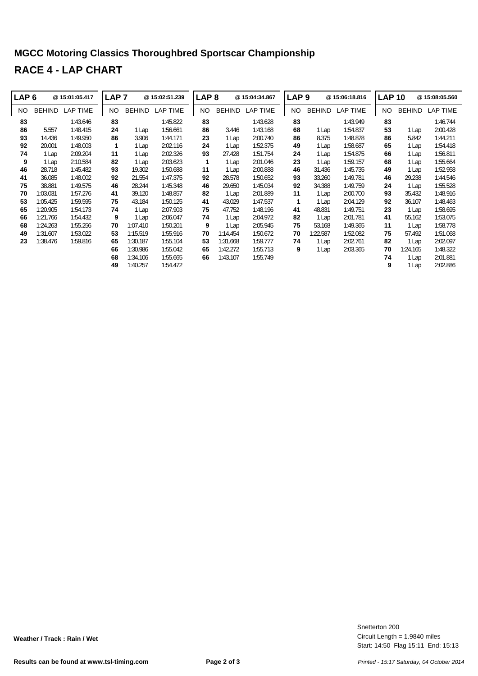## **MGCC Motoring Classics Thoroughbred Sportscar Championship RACE 4 - LAP CHART**

| LAP <sub>6</sub> |               | @15:01:05.417 | LAP <sub>7</sub> |               | @15:02:51.239 | LAP <sub>8</sub> |               | @15:04:34.867 | LAP <sub>9</sub> |               | @15:06:18.816 | <b>LAP 10</b> |               | @15:08:05.560   |
|------------------|---------------|---------------|------------------|---------------|---------------|------------------|---------------|---------------|------------------|---------------|---------------|---------------|---------------|-----------------|
| NO.              | <b>BEHIND</b> | LAP TIME      | NO.              | <b>BEHIND</b> | LAP TIME      | NO.              | <b>BEHIND</b> | LAP TIME      | NO.              | <b>BEHIND</b> | LAP TIME      | NO.           | <b>BEHIND</b> | <b>LAP TIME</b> |
| 83               |               | 1:43.646      | 83               |               | 1:45.822      | 83               |               | 1:43.628      | 83               |               | 1:43.949      | 83            |               | 1:46.744        |
| 86               | 5.557         | 1:48.415      | 24               | 1 Lap         | 1:56.661      | 86               | 3.446         | 1:43.168      | 68               | 1 Lap         | 1:54.837      | 53            | 1 Lap         | 2:00.428        |
| 93               | 14.436        | 1:49.950      | 86               | 3.906         | 1:44.171      | 23               | 1 Lap         | 2:00.740      | 86               | 8.375         | 1:48.878      | 86            | 5.842         | 1:44.211        |
| 92               | 20.001        | 1:48.003      | 1                | 1 Lap         | 2:02.116      | 24               | 1 Lap         | 1:52.375      | 49               | 1 Lap         | 1:58.687      | 65            | 1 Lap         | 1:54.418        |
| 74               | 1 Lap         | 2:09.204      | 11               | 1 Lap         | 2:02.326      | 93               | 27.428        | 1:51.754      | 24               | 1 Lap         | 1:54.875      | 66            | 1 Lap         | 1:56.811        |
| 9                | 1 Lap         | 2:10.584      | 82               | 1 Lap         | 2:03.623      | 1                | 1 Lap         | 2:01.046      | 23               | 1 Lap         | 1:59.157      | 68            | 1 Lap         | 1:55.664        |
| 46               | 28.718        | 1:45.482      | 93               | 19.302        | 1:50.688      | 11               | 1 Lap         | 2:00.888      | 46               | 31.436        | 1:45.735      | 49            | 1 Lap         | 1:52.958        |
| 41               | 36.085        | 1:48.002      | 92               | 21.554        | 1:47.375      | 92               | 28.578        | 1:50.652      | 93               | 33.260        | 1:49.781      | 46            | 29.238        | 1:44.546        |
| 75               | 38.881        | 1:49.575      | 46               | 28.244        | 1:45.348      | 46               | 29.650        | 1:45.034      | 92               | 34.388        | 1:49.759      | 24            | 1 Lap         | 1:55.528        |
| 70               | 1:03.031      | 1:57.276      | 41               | 39.120        | 1:48.857      | 82               | 1 Lap         | 2:01.889      | 11               | 1 Lap         | 2:00.700      | 93            | 35.432        | 1:48.916        |
| 53               | 1:05.425      | 1:59.595      | 75               | 43.184        | 1:50.125      | 41               | 43.029        | 1:47.537      | 1                | 1 Lap         | 2:04.129      | 92            | 36.107        | 1:48.463        |
| 65               | 1:20.905      | 1:54.173      | 74               | 1 Lap         | 2:07.903      | 75               | 47.752        | 1:48.196      | 41               | 48.831        | 1:49.751      | 23            | 1 Lap         | 1:58.695        |
| 66               | 1:21.766      | 1:54.432      | 9                | 1 Lap         | 2:06.047      | 74               | 1 Lap         | 2:04.972      | 82               | 1 Lap         | 2:01.781      | 41            | 55.162        | 1:53.075        |
| 68               | 1:24.263      | 1:55.256      | 70               | 1:07.410      | 1:50.201      | 9                | 1 Lap         | 2:05.945      | 75               | 53.168        | 1:49.365      | 11            | 1 Lap         | 1:58.778        |
| 49               | 1:31.607      | 1:53.022      | 53               | 1:15.519      | 1:55.916      | 70               | 1:14.454      | 1:50.672      | 70               | 1:22.587      | 1:52.082      | 75            | 57.492        | 1:51.068        |
| 23               | 1:38.476      | 1:59.816      | 65               | 1:30.187      | 1:55.104      | 53               | 1:31.668      | 1:59.777      | 74               | 1 Lap         | 2:02.761      | 82            | 1 Lap         | 2:02.097        |
|                  |               |               | 66               | 1:30.986      | 1:55.042      | 65               | 1:42.272      | 1:55.713      | 9                | 1 Lap         | 2:03.365      | 70            | 1:24.165      | 1:48.322        |
|                  |               |               | 68               | 1:34.106      | 1:55.665      | 66               | 1:43.107      | 1:55.749      |                  |               |               | 74            | 1 Lap         | 2:01.881        |
|                  |               |               | 49               | 1:40.257      | 1:54.472      |                  |               |               |                  |               |               | 9             | 1 Lap         | 2:02.886        |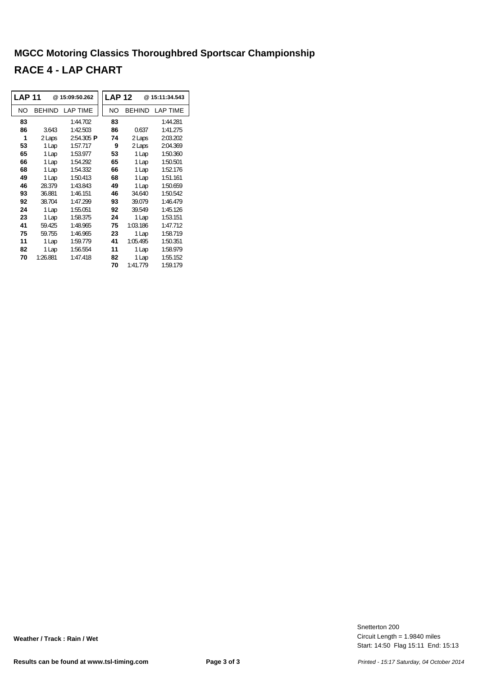#### **MGCC Motoring Classics Thoroughbred Sportscar Championship RACE 4 - LAP CHART**

| <b>LAP 11</b> |               | @15:09:50.262   | <b>LAP 12</b> |               | @15:11:34.543 |
|---------------|---------------|-----------------|---------------|---------------|---------------|
| NO            | <b>BEHIND</b> | <b>LAP TIME</b> | NO            | <b>BEHIND</b> | LAP TIME      |
| 83            |               | 1:44.702        | 83            |               | 1:44.281      |
| 86            | 3.643         | 1:42.503        | 86            | 0.637         | 1:41.275      |
| 1             | 2 Laps        | 2:54.305 P      | 74            | 2 Laps        | 2:03.202      |
| 53            | 1 Lap         | 1:57.717        | 9             | 2 Laps        | 2:04.369      |
| 65            | 1 Lap         | 1:53.977        | 53            | 1 Lap         | 1:50.360      |
| 66            | 1 Lap         | 1:54.292        | 65            | 1 Lap         | 1:50.501      |
| 68            | 1 Lap         | 1:54.332        | 66            | 1 Lap         | 1:52.176      |
| 49            | 1 Lap         | 1:50.413        | 68            | 1 Lap         | 1:51.161      |
| 46            | 28.379        | 1:43.843        | 49            | 1 Lap         | 1:50.659      |
| 93            | 36.881        | 1:46.151        | 46            | 34.640        | 1:50.542      |
| 92            | 38.704        | 1:47.299        | 93            | 39.079        | 1:46.479      |
| 24            | 1 Lap         | 1:55.051        | 92            | 39.549        | 1:45.126      |
| 23            | 1 Lap         | 1:58.375        | 24            | 1 Lap         | 1:53.151      |
| 41            | 59.425        | 1:48.965        | 75            | 1:03.186      | 1:47.712      |
| 75            | 59.755        | 1:46.965        | 23            | 1 Lap         | 1:58.719      |
| 11            | 1 Lap         | 1:59.779        | 41            | 1:05.495      | 1:50.351      |
| 82            | 1 Lap         | 1:56.554        | 11            | 1 Lap         | 1:58.979      |
| 70            | 1:26.881      | 1:47.418        | 82            | 1 Lap         | 1:55.152      |
|               |               |                 | 70            | 1:41.779      | 1:59.179      |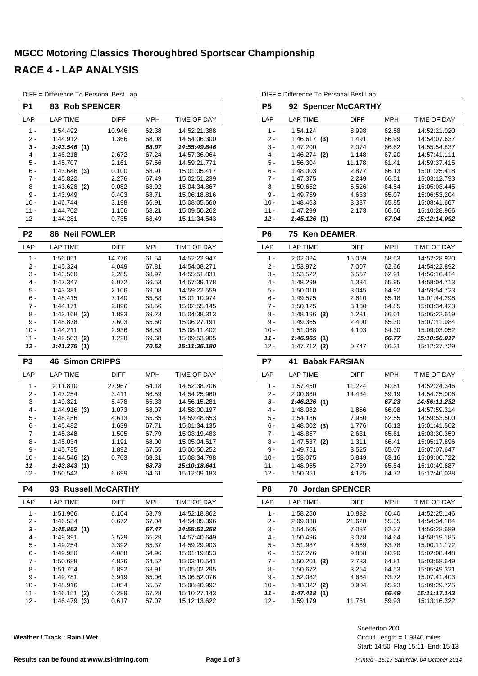#### **MGCC Motoring Classics Thoroughbred Sportscar Championship RACE 4 - LAP ANALYSIS**

|                | DIFF = Difference To Personal Best Lap |                         |                |                              |
|----------------|----------------------------------------|-------------------------|----------------|------------------------------|
| P1             | 83<br><b>Rob SPENCER</b>               |                         |                |                              |
| LAP            | LAP TIME                               | DIFF                    | <b>MPH</b>     | TIME OF DAY                  |
| $1 -$          | 1:54.492                               | 10.946                  | 62.38          | 14:52:21.388                 |
| 2 -            | 1:44.912                               | 1.366                   | 68.08          | 14:54:06.300                 |
| 3 -            | 1:43.546(1)                            |                         | 68.97          | 14:55:49.846                 |
| 4 -            | 1:46.218                               | 2.672                   | 67.24          | 14:57:36.064                 |
| 5 -            | 1:45.707                               | 2.161                   | 67.56          | 14:59:21.771                 |
| 6 -            | 1:43.646<br>(3)                        | 0.100                   | 68.91          | 15:01:05.417                 |
| $7 -$          | 1:45.822                               | 2.276                   | 67.49          | 15:02:51.239                 |
| 8 -            | 1:43.628 (2)                           | 0.082                   | 68.92          | 15:04:34.867                 |
| 9 -            | 1:43.949                               | 0.403                   | 68.71          | 15:06:18.816                 |
| $10 -$         | 1:46.744                               | 3.198                   | 66.91          | 15:08:05.560                 |
| 11 -           | 1:44.702                               | 1.156                   | 68.21          | 15:09:50.262                 |
| $12 -$         | 1:44.281                               | 0.735                   | 68.49          | 15:11:34.543                 |
| P <sub>2</sub> | <b>Neil FOWLER</b><br>86               |                         |                |                              |
| LAP            | <b>LAP TIME</b>                        | <b>DIFF</b>             | <b>MPH</b>     | TIME OF DAY                  |
| 1 -            | 1:56.051                               | 14.776                  | 61.54          | 14:52:22.947                 |
| $2 -$          | 1:45.324                               | 4.049                   | 67.81          | 14:54:08.271                 |
| $3 -$          | 1:43.560                               | 2.285                   | 68.97          | 14:55:51.831                 |
| 4 -            | 1:47.347                               | 6.072                   | 66.53          | 14:57:39.178                 |
| 5 -            | 1:43.381                               | 2.106                   | 69.08          | 14:59:22.559                 |
| 6 -            | 1:48.415                               | 7.140                   | 65.88          | 15:01:10.974                 |
| $7 -$          | 1:44.171                               | 2.896                   | 68.56          | 15:02:55.145                 |
| 8 -            | $1:43.168$ (3)                         | 1.893                   | 69.23          | 15:04:38.313                 |
| 9 -            | 1:48.878                               | 7.603                   | 65.60          | 15:06:27.191                 |
| $10 -$         | 1:44.211                               | 2.936                   | 68.53          | 15:08:11.402                 |
| 11 -           | 1:42.503<br>(2)                        | 1.228                   | 69.68          | 15:09:53.905                 |
| 12 -           | 1:41.275(1)                            |                         | 70.52          | 15:11:35.180                 |
|                |                                        |                         |                |                              |
| P <sub>3</sub> | <b>Simon CRIPPS</b><br>46              |                         |                |                              |
| LAP            | LAP TIME                               | DIFF                    | <b>MPH</b>     | TIME OF DAY                  |
| 1 -            |                                        |                         |                |                              |
| 2 -            | 2:11.810<br>1:47.254                   | 27.967<br>3.411         | 54.18<br>66.59 | 14:52:38.706<br>14:54:25.960 |
| 3 -            | 1:49.321                               | 5.478                   | 65.33          | 14:56:15.281                 |
| 4 -            | 1:44.916                               | 1.073                   | 68.07          | 14:58:00.197                 |
| 5 -            | (3)<br>1:48.456                        | 4.613                   | 65.85          | 14:59:48.653                 |
| 6 -            | 1:45.482                               | 1.639                   | 67.71          | 15:01:34.135                 |
| 7 -            | 1:45.348                               | 1.505                   | 67.79          | 15:03:19.483                 |
| 8 -            | 1:45.034                               | 1.191                   | 68.00          | 15:05:04.517                 |
| 9 -            | 1:45.735                               | 1.892                   | 67.55          | 15:06:50.252                 |
| 10 -           | $1:44.546$ (2)                         | 0.703                   | 68.31          | 15:08:34.798                 |
| 11 -           | 1:43.843 (1)                           |                         | 68.78          | 15:10:18.641                 |
| 12 -           | 1:50.542                               | 6.699                   | 64.61          | 15:12:09.183                 |
| P4             | 93                                     | <b>Russell McCARTHY</b> |                |                              |
| LAP            | <b>LAP TIME</b>                        | DIFF                    | <b>MPH</b>     | <b>TIME OF DAY</b>           |
| 1 -            | 1:51.966                               | 6.104                   | 63.79          | 14:52:18.862                 |
| $2 -$          | 1:46.534                               | 0.672                   | 67.04          | 14:54:05.396                 |
| 3 -            | 1:45.862 (1)                           |                         | 67.47          | 14:55:51.258                 |
| 4 -            | 1:49.391                               | 3.529                   | 65.29          | 14:57:40.649                 |
| $5 -$          | 1:49.254                               | 3.392                   | 65.37          | 14:59:29.903                 |
| 6 -            | 1:49.950                               | 4.088                   | 64.96          | 15:01:19.853                 |
| 7 -            | 1:50.688                               | 4.826                   | 64.52          | 15:03:10.541                 |
| 8 -            | 1:51.754                               | 5.892                   | 63.91          | 15:05:02.295                 |
| 9 -            | 1:49.781                               | 3.919                   | 65.06          | 15:06:52.076                 |
| 10 -           | 1:48.916                               | 3.054                   | 65.57          | 15:08:40.992                 |
| $11 -$         | 1:46.151<br>(2)                        | 0.289                   | 67.28          | 15:10:27.143                 |

DIFF - Difference To Personal Best La

**Weather / Track : Rain / Wet**

DIFF = Difference To Personal Best Lap

| DIFF = Difference To Personal Best Lap<br>P <sub>5</sub> | 92                            | <b>Spencer McCARTHY</b> |                |                              |
|----------------------------------------------------------|-------------------------------|-------------------------|----------------|------------------------------|
| LAP                                                      | <b>LAP TIME</b>               | <b>DIFF</b>             | <b>MPH</b>     | TIME OF DAY                  |
| 1 -                                                      | 1:54.124                      | 8.998                   | 62.58          | 14:52:21.020                 |
| $2 -$                                                    | $1:46.617$ (3)                | 1.491                   | 66.99          | 14:54:07.637                 |
| $3 -$                                                    | 1:47.200                      | 2.074                   | 66.62          | 14:55:54.837                 |
| $4 -$                                                    | $1:46.274$ (2)                | 1.148                   | 67.20          | 14:57:41.111                 |
| 5 -                                                      | 1:56.304                      | 11.178                  | 61.41          | 14:59:37.415                 |
| $6 -$                                                    | 1:48.003                      | 2.877                   | 66.13          | 15:01:25.418                 |
| $7 -$                                                    | 1:47.375                      | 2.249                   | 66.51          | 15:03:12.793                 |
| 8 -                                                      | 1:50.652                      | 5.526                   | 64.54          | 15:05:03.445                 |
| 9 -                                                      | 1:49.759                      | 4.633                   | 65.07          | 15:06:53.204                 |
| $10 -$                                                   | 1:48.463                      | 3.337                   | 65.85          | 15:08:41.667                 |
| 11 -                                                     | 1:47.299                      | 2.173                   | 66.56          | 15:10:28.966                 |
| $12 -$                                                   | 1:45.126(1)                   |                         | 67.94          | 15:12:14.092                 |
| P6                                                       | <b>Ken DEAMER</b><br>75       |                         |                |                              |
| LAP                                                      | <b>LAP TIME</b>               | <b>DIFF</b>             | <b>MPH</b>     | TIME OF DAY                  |
| $1 -$                                                    | 2:02.024                      | 15.059                  | 58.53          | 14:52:28.920                 |
| $2 -$                                                    | 1:53.972                      | 7.007                   | 62.66          | 14:54:22.892                 |
| $3 -$                                                    | 1:53.522                      | 6.557                   | 62.91          | 14:56:16.414                 |
| $4 -$                                                    | 1:48.299                      | 1.334                   | 65.95          | 14:58:04.713                 |
| 5 -                                                      | 1:50.010                      | 3.045                   | 64.92          | 14:59:54.723                 |
| $6 -$                                                    | 1:49.575                      | 2.610                   | 65.18          | 15:01:44.298                 |
| $7 -$                                                    | 1:50.125                      | 3.160                   | 64.85          | 15:03:34.423                 |
| $8 -$                                                    | $1:48.196$ (3)                | 1.231                   | 66.01          | 15:05:22.619                 |
| 9 -                                                      | 1:49.365                      | 2.400                   | 65.30          | 15:07:11.984                 |
| $10 -$                                                   | 1:51.068                      | 4.103                   | 64.30          | 15:09:03.052                 |
| $11 -$                                                   | 1:46.965(1)                   |                         | 66.77          | 15:10:50.017                 |
| $12 -$                                                   | $1:47.712$ (2)                | 0.747                   | 66.31          | 15:12:37.729                 |
| P7                                                       | 41                            | <b>Babak FARSIAN</b>    |                |                              |
|                                                          |                               |                         | MPH            | TIME OF DAY                  |
| LAP                                                      | <b>LAP TIME</b>               | DIFF                    |                |                              |
| $1 -$                                                    |                               |                         |                |                              |
|                                                          | 1:57.450                      | 11.224                  | 60.81          | 14:52:24.346                 |
| $2 -$<br>$3 -$                                           | 2:00.660                      | 14.434                  | 59.19          | 14:54:25.006                 |
| $4 -$                                                    | 1:46.226(1)                   |                         | 67.23          | 14:56:11.232                 |
| 5 -                                                      | 1:48.082<br>1:54.186          | 1.856<br>7.960          | 66.08<br>62.55 | 14:57:59.314<br>14:59:53.500 |
| $6 -$                                                    | $1:48.002$ (3)                | 1.776                   | 66.13          | 15:01:41.502                 |
| $7 -$                                                    |                               |                         |                |                              |
| 8 -                                                      | 1:48.857                      | 2.631<br>1.311          | 65.61<br>66.41 | 15:03:30.359<br>15:05:17.896 |
| 9 -                                                      | $1:47.537$ (2)<br>1:49.751    | 3.525                   | 65.07          | 15:07:07.647                 |
| $10 -$                                                   |                               |                         | 63.16          | 15:09:00.722                 |
| 11 -                                                     | 1:53.075<br>1:48.965          | 6.849<br>2.739          | 65.54          | 15:10:49.687                 |
| $12 -$                                                   | 1:50.351                      | 4.125                   | 64.72          | 15:12:40.038                 |
| P8                                                       | 70                            | <b>Jordan SPENCER</b>   |                |                              |
| LAP                                                      | <b>LAP TIME</b>               | <b>DIFF</b>             | <b>MPH</b>     | TIME OF DAY                  |
| 1 -                                                      |                               |                         |                |                              |
| $2 -$                                                    | 1:58.250<br>2:09.038          | 10.832<br>21.620        | 60.40<br>55.35 | 14:52:25.146<br>14:54:34.184 |
| $3 -$                                                    | 1:54.505                      | 7.087                   | 62.37          | 14:56:28.689                 |
| $4 -$                                                    | 1:50.496                      | 3.078                   | 64.64          | 14:58:19.185                 |
| 5 -                                                      | 1:51.987                      | 4.569                   | 63.78          | 15:00:11.172                 |
|                                                          |                               |                         |                | 15:02:08.448                 |
| $6 -$<br>7 -                                             | 1:57.276                      | 9.858                   | 60.90          |                              |
| 8 -                                                      | 1:50.201<br>(3)               | 2.783                   | 64.81          | 15:03:58.649<br>15:05:49.321 |
| 9 -                                                      | 1:50.672<br>1:52.082          | 3.254<br>4.664          | 64.53<br>63.72 | 15:07:41.403                 |
| $10 -$                                                   |                               | 0.904                   | 65.93          | 15:09:29.725                 |
| $11 -$                                                   | $1:48.322$ (2)<br>1:47.418(1) |                         | 66.49          | 15:11:17.143                 |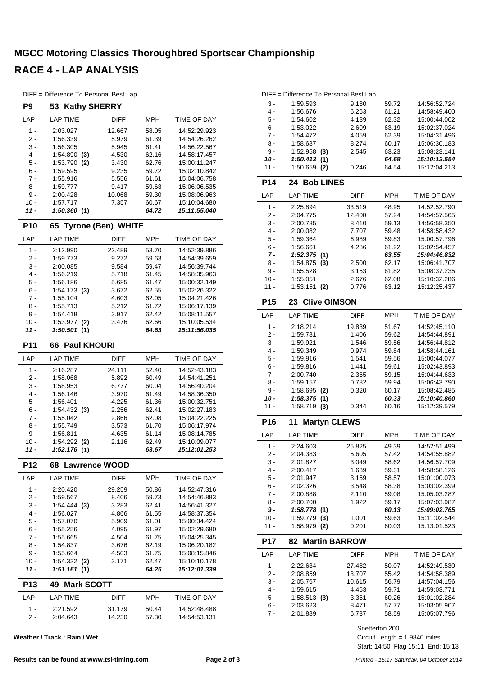#### **MGCC Motoring Classics Thoroughbred Sportscar Championship RACE 4 - LAP ANALYSIS**

|                 | DIFF = Difference To Personal Best Lap |                           |                |                              |
|-----------------|----------------------------------------|---------------------------|----------------|------------------------------|
| P9              | <b>Kathy SHERRY</b><br>53              |                           |                |                              |
| LAP             | <b>LAP TIME</b>                        | <b>DIFF</b>               | <b>MPH</b>     | TIME OF DAY                  |
| $1 -$           | 2:03.027                               | 12.667                    | 58.05          | 14:52:29.923                 |
| 2 -             | 1:56.339                               | 5.979                     | 61.39          | 14:54:26.262                 |
| 3 -             | 1:56.305                               | 5.945                     | 61.41          | 14:56:22.567                 |
| 4 -             | $1:54.890$ (3)                         | 4.530                     | 62.16          | 14:58:17.457                 |
| 5 -             | 1:53.790 (2)                           | 3.430                     | 62.76          | 15:00:11.247                 |
| 6 -<br>7 -      | 1:59.595<br>1:55.916                   | 9.235<br>5.556            | 59.72<br>61.61 | 15:02:10.842<br>15:04:06.758 |
| 8 -             | 1:59.777                               | 9.417                     | 59.63          | 15:06:06.535                 |
| 9 -             | 2:00.428                               | 10.068                    | 59.30          | 15:08:06.963                 |
| $10 -$          | 1:57.717                               | 7.357                     | 60.67          | 15:10:04.680                 |
| 11 -            | 1:50.360(1)                            |                           | 64.72          | 15:11:55.040                 |
| P <sub>10</sub> | 65                                     | <b>Tyrone (Ben) WHITE</b> |                |                              |
| LAP             | <b>LAP TIME</b>                        | <b>DIFF</b>               | MPH            | TIME OF DAY                  |
| 1 -             | 2:12.990                               | 22.489                    | 53.70          | 14:52:39.886                 |
| 2 -             | 1:59.773                               | 9.272                     | 59.63          | 14:54:39.659                 |
| 3 -             | 2:00.085                               | 9.584                     | 59.47          | 14:56:39.744                 |
| 4 -             | 1:56.219                               | 5.718                     | 61.45          | 14:58:35.963                 |
| 5 -             | 1:56.186                               | 5.685                     | 61.47          | 15:00:32.149                 |
| 6 -             | $1:54.173$ (3)                         | 3.672                     | 62.55          | 15:02:26.322                 |
| $7 -$           | 1:55.104                               | 4.603                     | 62.05          | 15:04:21.426                 |
| 8 -             | 1:55.713                               | 5.212                     | 61.72          | 15:06:17.139                 |
| 9 -             | 1:54.418                               | 3.917                     | 62.42          | 15:08:11.557<br>15:10:05.534 |
| 10 -<br>11 -    | 1:53.977 (2)<br>1:50.501(1)            | 3.476                     | 62.66<br>64.63 | 15:11:56.035                 |
|                 |                                        |                           |                |                              |
| <b>P11</b>      | <b>Paul KHOURI</b><br>66               |                           |                |                              |
| LAP             | <b>LAP TIME</b>                        | <b>DIFF</b>               | <b>MPH</b>     | TIME OF DAY                  |
| $1 -$           | 2:16.287                               | 24.111                    | 52.40          | 14:52:43.183                 |
| 2 -             | 1:58.068                               | 5.892                     | 60.49          | 14:54:41.251                 |
| 3 -<br>4 -      | 1:58.953<br>1:56.146                   | 6.777<br>3.970            | 60.04<br>61.49 | 14:56:40.204<br>14:58:36.350 |
| 5 -             | 1:56.401                               | 4.225                     | 61.36          | 15:00:32.751                 |
| 6 -             | 1:54.432(3)                            | 2.256                     | 62.41          | 15:02:27.183                 |
| $7 -$           | 1:55.042                               | 2.866                     | 62.08          | 15:04:22.225                 |
| 8 -             | 1:55.749                               | 3.573                     | 61.70          | 15:06:17.974                 |
| 9 -             | 1:56.811                               | 4.635                     | 61.14          | 15:08:14.785                 |
| 10 -            | 1:54.292 (2)                           | 2.116                     | 62.49          | 15:10:09.077                 |
| 11 -            | 1:52.176(1)                            |                           | 63.67          | 15:12:01.253                 |
| <b>P12</b>      | 68<br><b>Lawrence WOOD</b>             |                           |                |                              |
| LAP             | <b>LAP TIME</b>                        | DIFF                      | <b>MPH</b>     | TIME OF DAY                  |
| $1 -$           | 2:20.420                               | 29.259                    | 50.86          | 14:52:47.316                 |
| 2 -             | 1:59.567                               | 8.406                     | 59.73          | 14:54:46.883                 |
| 3 -             | 1:54.444 (3)                           | 3.283                     | 62.41          | 14:56:41.327                 |
| 4 -             | 1:56.027                               | 4.866                     | 61.55          | 14:58:37.354                 |
| 5 -             | 1:57.070                               | 5.909                     | 61.01          | 15:00:34.424                 |
| 6 -             | 1:55.256                               | 4.095                     | 61.97          | 15:02:29.680                 |
| 7 -<br>8 -      | 1:55.665<br>1:54.837                   | 4.504                     | 61.75<br>62.19 | 15:04:25.345<br>15:06:20.182 |
| 9 -             | 1:55.664                               | 3.676<br>4.503            | 61.75          | 15:08:15.846                 |
| 10 -            | $1:54.332$ (2)                         | 3.171                     | 62.47          | 15:10:10.178                 |
| 11 -            | 1:51.161(1)                            |                           | 64.25          | 15:12:01.339                 |
| P <sub>13</sub> | <b>Mark SCOTT</b><br>49                |                           |                |                              |
| LAP             | LAP TIME                               | DIFF                      | MPH            | TIME OF DAY                  |
| 1 -             | 2:21.592                               | 31.179                    | 50.44          | 14:52:48.488                 |
| 2 -             | 2:04.643                               | 14.230                    | 57.30          | 14:54:53.131                 |

**Weather / Track : Rain / Wet**

| 3 -             | 1:59.593                           | 9.180           | 59.72          | 14:56:52.724                 |
|-----------------|------------------------------------|-----------------|----------------|------------------------------|
| 4 -             | 1:56.676                           | 6.263           | 61.21          | 14:58:49.400                 |
| 5 -             | 1:54.602                           | 4.189           | 62.32          | 15:00:44.002                 |
| 6 -             | 1:53.022                           | 2.609           | 63.19          | 15:02:37.024                 |
| 7 -             | 1:54.472                           | 4.059           | 62.39          | 15:04:31.496                 |
| 8 -             | 1:58.687                           | 8.274           | 60.17          | 15:06:30.183                 |
| $9 -$           | 1:52.958<br>(3)                    | 2.545           | 63.23          | 15:08:23.141                 |
| 10 -            | 1:50.413<br>(1)                    |                 | 64.68          | 15:10:13.554                 |
| $11 -$          | 1:50.659<br>(2)                    | 0.246           | 64.54          | 15:12:04.213                 |
| <b>P14</b>      | <b>Bob LINES</b><br>24             |                 |                |                              |
| LAP             | <b>LAP TIME</b>                    | <b>DIFF</b>     | <b>MPH</b>     | <b>TIME OF DAY</b>           |
| 1 -             | 2:25.894                           | 33.519          | 48.95          | 14:52:52.790                 |
| 2 -             | 2:04.775                           | 12.400          | 57.24          | 14:54:57.565                 |
| 3 -             | 2:00.785                           | 8.410           | 59.13          | 14:56:58.350                 |
| $4 -$           | 2:00.082                           | 7.707           | 59.48          | 14:58:58.432                 |
| 5 -             | 1:59.364                           | 6.989           | 59.83          | 15:00:57.796                 |
| 6 -             | 1:56.661                           | 4.286           | 61.22          | 15:02:54.457                 |
| 7 -             | 1:52.375(1)                        |                 | 63.55          | 15:04:46.832                 |
| 8 -             | 1:54.875<br>(3)                    | 2.500           | 62.17          | 15:06:41.707                 |
| 9 -             | 1:55.528                           | 3.153           | 61.82          | 15:08:37.235                 |
| 10 -            | 1:55.051                           | 2.676           | 62.08          | 15:10:32.286                 |
| $11 -$          | 1:53.151<br>(2)                    | 0.776           | 63.12          | 15:12:25.437                 |
| P <sub>15</sub> | <b>Clive GIMSON</b><br>23          |                 |                |                              |
| LAP             | <b>LAP TIME</b>                    | DIFF            | <b>MPH</b>     | TIME OF DAY                  |
| 1 -             | 2:18.214                           | 19.839          | 51.67          | 14:52:45.110                 |
| $2 -$           | 1:59.781                           | 1.406           | 59.62          | 14:54:44.891                 |
| $3 -$           | 1:59.921                           | 1.546           | 59.56          | 14:56:44.812                 |
| $4 -$           | 1:59.349                           | 0.974           | 59.84          | 14:58:44.161                 |
| 5 -             | 1:59.916                           | 1.541           | 59.56          | 15:00:44.077                 |
| 6 -<br>$7 -$    | 1:59.816<br>2:00.740               | 1.441<br>2.365  | 59.61          | 15:02:43.893                 |
| 8 -             | 1:59.157                           | 0.782           | 59.15<br>59.94 | 15:04:44.633<br>15:06:43.790 |
| 9 -             | 1:58.695<br>(2)                    | 0.320           | 60.17          | 15:08:42.485                 |
| 10 -            | 1:58.375<br>(1)                    |                 | 60.33          | 15:10:40.860                 |
| $11 -$          | 1:58.719<br>(3)                    | 0.344           | 60.16          | 15:12:39.579                 |
| <b>P16</b>      |                                    |                 |                |                              |
|                 |                                    |                 |                |                              |
|                 | <b>Martyn CLEWS</b><br>11          |                 |                |                              |
| LAP             | <b>LAP TIME</b>                    | <b>DIFF</b>     | <b>MPH</b>     | TIME OF DAY                  |
| 1 -             | 2:24.603                           | 25.825          | 49.39          | 14:52:51.499                 |
| $2 -$           | 2:04.383                           | 5.605           | 57.42          | 14:54:55.882                 |
| 3 -             | 2:01.827                           | 3.049           | 58.62          | 14:56:57.709                 |
| 4 -             | 2:00.417                           | 1.639           | 59.31          | 14:58:58.126                 |
| $5 -$           | 2:01.947                           | 3.169           | 58.57          | 15:01:00.073                 |
| 6 -             | 2:02.326                           | 3.548           | 58.38          | 15:03:02.399                 |
| $7 -$           | 2:00.888                           | 2.110           | 59.08          | 15:05:03.287                 |
| 8 -             | 2:00.700                           | 1.922           | 59.17          | 15:07:03.987                 |
| 9 -             | 1:58.778(1)                        |                 | 60.13          | 15:09:02.765                 |
| 10 -<br>$11 -$  | 1:59.779<br>(3)<br>1:58.979<br>(2) | 1.001<br>0.201  | 59.63<br>60.03 | 15:11:02.544<br>15:13:01.523 |
|                 | 82<br><b>Martin BARROW</b>         |                 |                |                              |
| P17             |                                    |                 |                |                              |
| LAP             | <b>LAP TIME</b>                    | DIFF            | MPH            | TIME OF DAY                  |
| 1 -             | 2:22.634                           | 27.482          | 50.07          | 14:52:49.530                 |
| 2 -<br>3 -      | 2:08.859                           | 13.707          | 55.42          | 14:54:58.389                 |
| $4 -$           | 2:05.767<br>1:59.615               | 10.615<br>4.463 | 56.79<br>59.71 | 14:57:04.156<br>14:59:03.771 |
| 5 -             | 1:58.513(3)                        | 3.361           | 60.26          | 15:01:02.284                 |
| 6 -             | 2:03.623                           | 8.471           | 57.77          | 15:03:05.907                 |

DIFF = Difference To Personal Best Lap

Snetterton 200